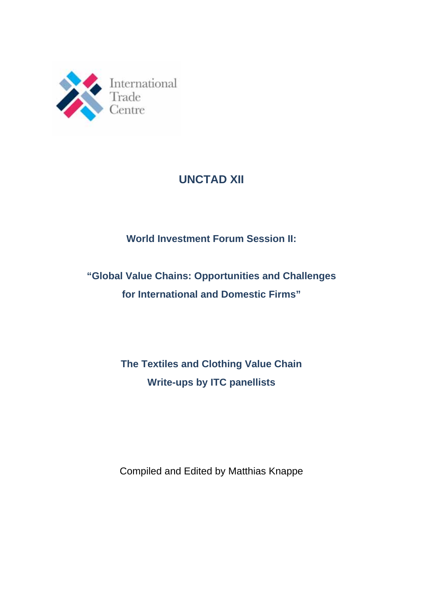

# **UNCTAD XII**

# **World Investment Forum Session II:**

# **"Global Value Chains: Opportunities and Challenges for International and Domestic Firms"**

# **The Textiles and Clothing Value Chain Write-ups by ITC panellists**

Compiled and Edited by Matthias Knappe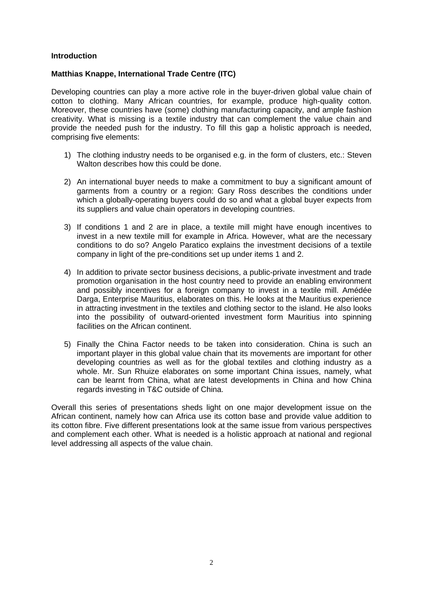#### **Introduction**

#### **Matthias Knappe, International Trade Centre (ITC)**

Developing countries can play a more active role in the buyer-driven global value chain of cotton to clothing. Many African countries, for example, produce high-quality cotton. Moreover, these countries have (some) clothing manufacturing capacity, and ample fashion creativity. What is missing is a textile industry that can complement the value chain and provide the needed push for the industry. To fill this gap a holistic approach is needed, comprising five elements:

- 1) The clothing industry needs to be organised e.g. in the form of clusters, etc.: Steven Walton describes how this could be done.
- 2) An international buyer needs to make a commitment to buy a significant amount of garments from a country or a region: Gary Ross describes the conditions under which a globally-operating buyers could do so and what a global buyer expects from its suppliers and value chain operators in developing countries.
- 3) If conditions 1 and 2 are in place, a textile mill might have enough incentives to invest in a new textile mill for example in Africa. However, what are the necessary conditions to do so? Angelo Paratico explains the investment decisions of a textile company in light of the pre-conditions set up under items 1 and 2.
- 4) In addition to private sector business decisions, a public-private investment and trade promotion organisation in the host country need to provide an enabling environment and possibly incentives for a foreign company to invest in a textile mill. Amédée Darga, Enterprise Mauritius, elaborates on this. He looks at the Mauritius experience in attracting investment in the textiles and clothing sector to the island. He also looks into the possibility of outward-oriented investment form Mauritius into spinning facilities on the African continent.
- 5) Finally the China Factor needs to be taken into consideration. China is such an important player in this global value chain that its movements are important for other developing countries as well as for the global textiles and clothing industry as a whole. Mr. Sun Rhuize elaborates on some important China issues, namely, what can be learnt from China, what are latest developments in China and how China regards investing in T&C outside of China.

Overall this series of presentations sheds light on one major development issue on the African continent, namely how can Africa use its cotton base and provide value addition to its cotton fibre. Five different presentations look at the same issue from various perspectives and complement each other. What is needed is a holistic approach at national and regional level addressing all aspects of the value chain.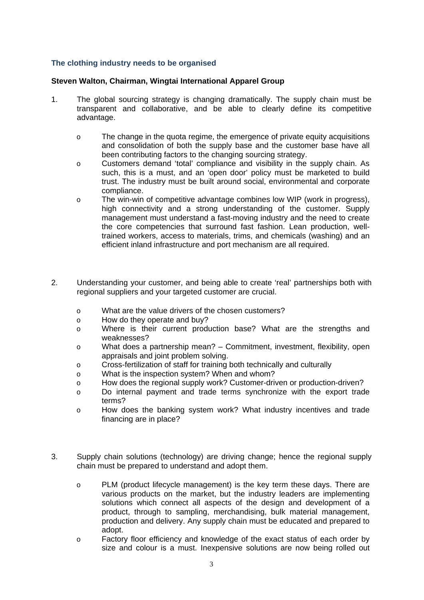# **The clothing industry needs to be organised**

#### **Steven Walton, Chairman, Wingtai International Apparel Group**

- 1. The global sourcing strategy is changing dramatically. The supply chain must be transparent and collaborative, and be able to clearly define its competitive advantage.
	- o The change in the quota regime, the emergence of private equity acquisitions and consolidation of both the supply base and the customer base have all been contributing factors to the changing sourcing strategy.
	- o Customers demand 'total' compliance and visibility in the supply chain. As such, this is a must, and an 'open door' policy must be marketed to build trust. The industry must be built around social, environmental and corporate compliance.
	- o The win-win of competitive advantage combines low WIP (work in progress), high connectivity and a strong understanding of the customer. Supply management must understand a fast-moving industry and the need to create the core competencies that surround fast fashion. Lean production, welltrained workers, access to materials, trims, and chemicals (washing) and an efficient inland infrastructure and port mechanism are all required.
- 2. Understanding your customer, and being able to create 'real' partnerships both with regional suppliers and your targeted customer are crucial.
	- o What are the value drivers of the chosen customers?
	- o How do they operate and buy?
	- o Where is their current production base? What are the strengths and weaknesses?
	- o What does a partnership mean? Commitment, investment, flexibility, open appraisals and joint problem solving.
	- o Cross-fertilization of staff for training both technically and culturally
	- o What is the inspection system? When and whom?
	- o How does the regional supply work? Customer-driven or production-driven?
	- o Do internal payment and trade terms synchronize with the export trade terms?
	- o How does the banking system work? What industry incentives and trade financing are in place?
- 3. Supply chain solutions (technology) are driving change; hence the regional supply chain must be prepared to understand and adopt them.
	- o PLM (product lifecycle management) is the key term these days. There are various products on the market, but the industry leaders are implementing solutions which connect all aspects of the design and development of a product, through to sampling, merchandising, bulk material management, production and delivery. Any supply chain must be educated and prepared to adopt.
	- o Factory floor efficiency and knowledge of the exact status of each order by size and colour is a must. Inexpensive solutions are now being rolled out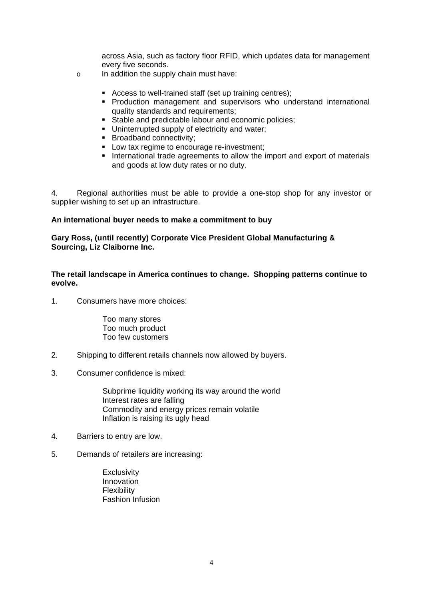across Asia, such as factory floor RFID, which updates data for management every five seconds.

- o In addition the supply chain must have:
	- Access to well-trained staff (set up training centres);
	- Production management and supervisors who understand international quality standards and requirements;
	- Stable and predictable labour and economic policies;
	- Uninterrupted supply of electricity and water:
	- Broadband connectivity:
	- **Low tax regime to encourage re-investment;**
	- International trade agreements to allow the import and export of materials and goods at low duty rates or no duty.

4. Regional authorities must be able to provide a one-stop shop for any investor or supplier wishing to set up an infrastructure.

#### **An international buyer needs to make a commitment to buy**

**Gary Ross, (until recently) Corporate Vice President Global Manufacturing & Sourcing, Liz Claiborne Inc.**

**The retail landscape in America continues to change. Shopping patterns continue to evolve.** 

1. Consumers have more choices:

 Too many stores Too much product Too few customers

- 2. Shipping to different retails channels now allowed by buyers.
- 3. Consumer confidence is mixed:

 Subprime liquidity working its way around the world Interest rates are falling Commodity and energy prices remain volatile Inflation is raising its ugly head

- 4. Barriers to entry are low.
- 5. Demands of retailers are increasing:
	- **Exclusivity** Innovation Flexibility Fashion Infusion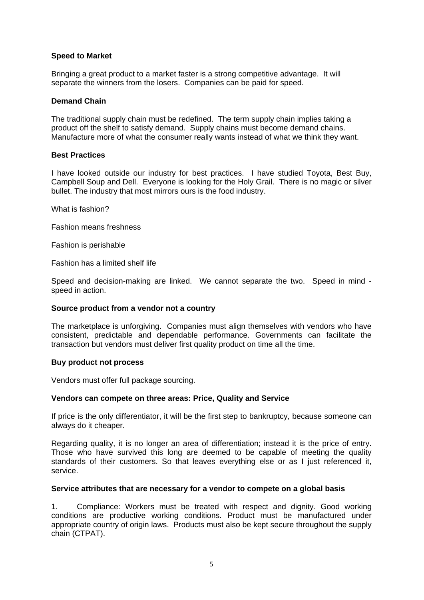#### **Speed to Market**

Bringing a great product to a market faster is a strong competitive advantage. It will separate the winners from the losers. Companies can be paid for speed.

#### **Demand Chain**

The traditional supply chain must be redefined. The term supply chain implies taking a product off the shelf to satisfy demand. Supply chains must become demand chains. Manufacture more of what the consumer really wants instead of what we think they want.

#### **Best Practices**

I have looked outside our industry for best practices. I have studied Toyota, Best Buy, Campbell Soup and Dell. Everyone is looking for the Holy Grail. There is no magic or silver bullet. The industry that most mirrors ours is the food industry.

What is fashion?

Fashion means freshness

Fashion is perishable

Fashion has a limited shelf life

Speed and decision-making are linked. We cannot separate the two. Speed in mind speed in action.

# **Source product from a vendor not a country**

The marketplace is unforgiving. Companies must align themselves with vendors who have consistent, predictable and dependable performance. Governments can facilitate the transaction but vendors must deliver first quality product on time all the time.

#### **Buy product not process**

Vendors must offer full package sourcing.

# **Vendors can compete on three areas: Price, Quality and Service**

If price is the only differentiator, it will be the first step to bankruptcy, because someone can always do it cheaper.

Regarding quality, it is no longer an area of differentiation; instead it is the price of entry. Those who have survived this long are deemed to be capable of meeting the quality standards of their customers. So that leaves everything else or as I just referenced it, service.

#### **Service attributes that are necessary for a vendor to compete on a global basis**

1. Compliance: Workers must be treated with respect and dignity. Good working conditions are productive working conditions. Product must be manufactured under appropriate country of origin laws. Products must also be kept secure throughout the supply chain (CTPAT).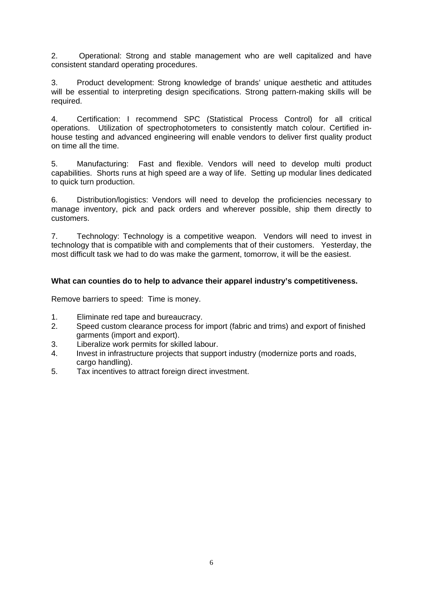2. Operational: Strong and stable management who are well capitalized and have consistent standard operating procedures.

3. Product development: Strong knowledge of brands' unique aesthetic and attitudes will be essential to interpreting design specifications. Strong pattern-making skills will be required.

4. Certification: I recommend SPC (Statistical Process Control) for all critical operations. Utilization of spectrophotometers to consistently match colour. Certified inhouse testing and advanced engineering will enable vendors to deliver first quality product on time all the time.

5. Manufacturing: Fast and flexible. Vendors will need to develop multi product capabilities. Shorts runs at high speed are a way of life. Setting up modular lines dedicated to quick turn production.

6. Distribution/logistics: Vendors will need to develop the proficiencies necessary to manage inventory, pick and pack orders and wherever possible, ship them directly to customers.

7. Technology: Technology is a competitive weapon. Vendors will need to invest in technology that is compatible with and complements that of their customers. Yesterday, the most difficult task we had to do was make the garment, tomorrow, it will be the easiest.

# **What can counties do to help to advance their apparel industry's competitiveness.**

Remove barriers to speed: Time is money.

- 1. Eliminate red tape and bureaucracy.
- 2. Speed custom clearance process for import (fabric and trims) and export of finished garments (import and export).
- 3. Liberalize work permits for skilled labour.
- 4. Invest in infrastructure projects that support industry (modernize ports and roads, cargo handling).
- 5. Tax incentives to attract foreign direct investment.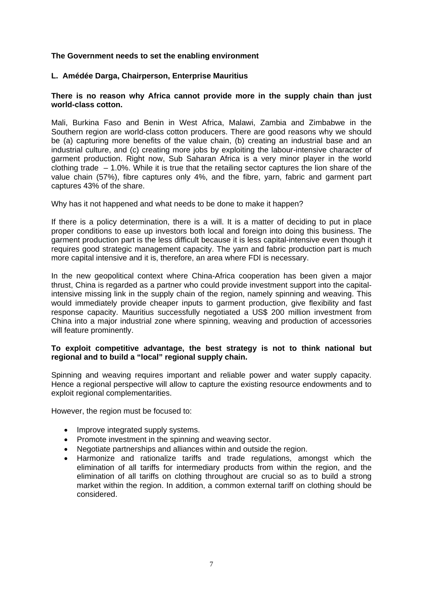#### **The Government needs to set the enabling environment**

#### **L. Amédée Darga, Chairperson, Enterprise Mauritius**

#### **There is no reason why Africa cannot provide more in the supply chain than just world-class cotton.**

Mali, Burkina Faso and Benin in West Africa, Malawi, Zambia and Zimbabwe in the Southern region are world-class cotton producers. There are good reasons why we should be (a) capturing more benefits of the value chain, (b) creating an industrial base and an industrial culture, and (c) creating more jobs by exploiting the labour-intensive character of garment production. Right now, Sub Saharan Africa is a very minor player in the world clothing trade – 1.0%. While it is true that the retailing sector captures the lion share of the value chain (57%), fibre captures only 4%, and the fibre, yarn, fabric and garment part captures 43% of the share.

Why has it not happened and what needs to be done to make it happen?

If there is a policy determination, there is a will. It is a matter of deciding to put in place proper conditions to ease up investors both local and foreign into doing this business. The garment production part is the less difficult because it is less capital-intensive even though it requires good strategic management capacity. The yarn and fabric production part is much more capital intensive and it is, therefore, an area where FDI is necessary.

In the new geopolitical context where China-Africa cooperation has been given a major thrust, China is regarded as a partner who could provide investment support into the capitalintensive missing link in the supply chain of the region, namely spinning and weaving. This would immediately provide cheaper inputs to garment production, give flexibility and fast response capacity. Mauritius successfully negotiated a US\$ 200 million investment from China into a major industrial zone where spinning, weaving and production of accessories will feature prominently.

#### **To exploit competitive advantage, the best strategy is not to think national but regional and to build a "local" regional supply chain.**

Spinning and weaving requires important and reliable power and water supply capacity. Hence a regional perspective will allow to capture the existing resource endowments and to exploit regional complementarities.

However, the region must be focused to:

- Improve integrated supply systems.
- Promote investment in the spinning and weaving sector.
- Negotiate partnerships and alliances within and outside the region.
- Harmonize and rationalize tariffs and trade regulations, amongst which the elimination of all tariffs for intermediary products from within the region, and the elimination of all tariffs on clothing throughout are crucial so as to build a strong market within the region. In addition, a common external tariff on clothing should be considered.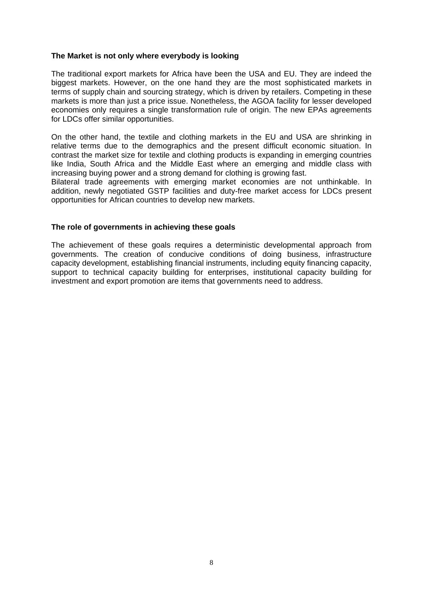#### **The Market is not only where everybody is looking**

The traditional export markets for Africa have been the USA and EU. They are indeed the biggest markets. However, on the one hand they are the most sophisticated markets in terms of supply chain and sourcing strategy, which is driven by retailers. Competing in these markets is more than just a price issue. Nonetheless, the AGOA facility for lesser developed economies only requires a single transformation rule of origin. The new EPAs agreements for LDCs offer similar opportunities.

On the other hand, the textile and clothing markets in the EU and USA are shrinking in relative terms due to the demographics and the present difficult economic situation. In contrast the market size for textile and clothing products is expanding in emerging countries like India, South Africa and the Middle East where an emerging and middle class with increasing buying power and a strong demand for clothing is growing fast.

Bilateral trade agreements with emerging market economies are not unthinkable. In addition, newly negotiated GSTP facilities and duty-free market access for LDCs present opportunities for African countries to develop new markets.

#### **The role of governments in achieving these goals**

The achievement of these goals requires a deterministic developmental approach from governments. The creation of conducive conditions of doing business, infrastructure capacity development, establishing financial instruments, including equity financing capacity, support to technical capacity building for enterprises, institutional capacity building for investment and export promotion are items that governments need to address.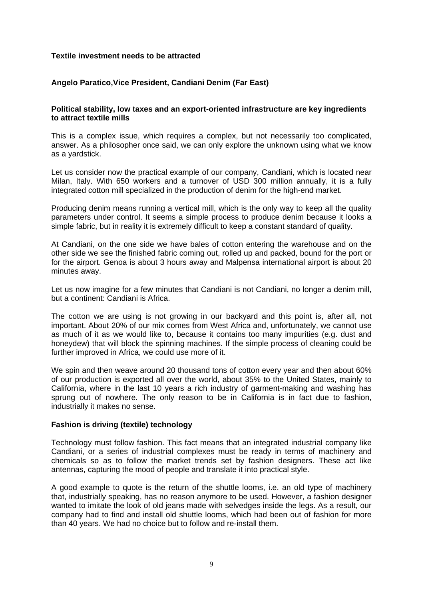#### **Textile investment needs to be attracted**

# **Angelo Paratico,Vice President, Candiani Denim (Far East)**

#### **Political stability, low taxes and an export-oriented infrastructure are key ingredients to attract textile mills**

This is a complex issue, which requires a complex, but not necessarily too complicated, answer. As a philosopher once said, we can only explore the unknown using what we know as a yardstick.

Let us consider now the practical example of our company, Candiani, which is located near Milan, Italy. With 650 workers and a turnover of USD 300 million annually, it is a fully integrated cotton mill specialized in the production of denim for the high-end market.

Producing denim means running a vertical mill, which is the only way to keep all the quality parameters under control. It seems a simple process to produce denim because it looks a simple fabric, but in reality it is extremely difficult to keep a constant standard of quality.

At Candiani, on the one side we have bales of cotton entering the warehouse and on the other side we see the finished fabric coming out, rolled up and packed, bound for the port or for the airport. Genoa is about 3 hours away and Malpensa international airport is about 20 minutes away.

Let us now imagine for a few minutes that Candiani is not Candiani, no longer a denim mill, but a continent: Candiani is Africa.

The cotton we are using is not growing in our backyard and this point is, after all, not important. About 20% of our mix comes from West Africa and, unfortunately, we cannot use as much of it as we would like to, because it contains too many impurities (e.g. dust and honeydew) that will block the spinning machines. If the simple process of cleaning could be further improved in Africa, we could use more of it.

We spin and then weave around 20 thousand tons of cotton every year and then about 60% of our production is exported all over the world, about 35% to the United States, mainly to California, where in the last 10 years a rich industry of garment-making and washing has sprung out of nowhere. The only reason to be in California is in fact due to fashion, industrially it makes no sense.

#### **Fashion is driving (textile) technology**

Technology must follow fashion. This fact means that an integrated industrial company like Candiani, or a series of industrial complexes must be ready in terms of machinery and chemicals so as to follow the market trends set by fashion designers. These act like antennas, capturing the mood of people and translate it into practical style.

A good example to quote is the return of the shuttle looms, i.e. an old type of machinery that, industrially speaking, has no reason anymore to be used. However, a fashion designer wanted to imitate the look of old jeans made with selvedges inside the legs. As a result, our company had to find and install old shuttle looms, which had been out of fashion for more than 40 years. We had no choice but to follow and re-install them.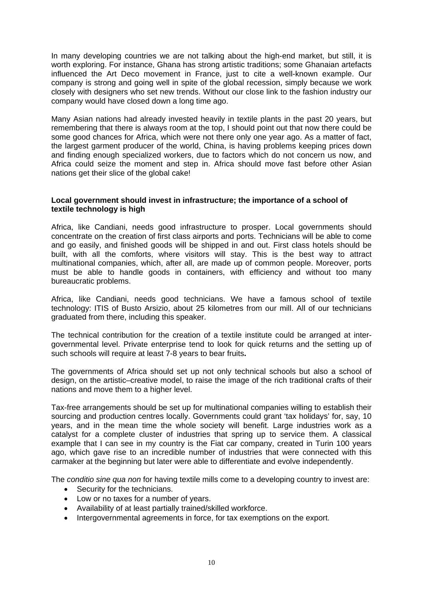In many developing countries we are not talking about the high-end market, but still, it is worth exploring. For instance, Ghana has strong artistic traditions; some Ghanaian artefacts influenced the Art Deco movement in France, just to cite a well-known example. Our company is strong and going well in spite of the global recession, simply because we work closely with designers who set new trends. Without our close link to the fashion industry our company would have closed down a long time ago.

Many Asian nations had already invested heavily in textile plants in the past 20 years, but remembering that there is always room at the top, I should point out that now there could be some good chances for Africa, which were not there only one year ago. As a matter of fact, the largest garment producer of the world, China, is having problems keeping prices down and finding enough specialized workers, due to factors which do not concern us now, and Africa could seize the moment and step in. Africa should move fast before other Asian nations get their slice of the global cake!

#### **Local government should invest in infrastructure; the importance of a school of textile technology is high**

Africa, like Candiani, needs good infrastructure to prosper. Local governments should concentrate on the creation of first class airports and ports. Technicians will be able to come and go easily, and finished goods will be shipped in and out. First class hotels should be built, with all the comforts, where visitors will stay. This is the best way to attract multinational companies, which, after all, are made up of common people. Moreover, ports must be able to handle goods in containers, with efficiency and without too many bureaucratic problems.

Africa, like Candiani, needs good technicians. We have a famous school of textile technology: ITIS of Busto Arsizio, about 25 kilometres from our mill. All of our technicians graduated from there, including this speaker.

The technical contribution for the creation of a textile institute could be arranged at intergovernmental level. Private enterprise tend to look for quick returns and the setting up of such schools will require at least 7-8 years to bear fruits**.**

The governments of Africa should set up not only technical schools but also a school of design, on the artistic–creative model, to raise the image of the rich traditional crafts of their nations and move them to a higher level.

Tax-free arrangements should be set up for multinational companies willing to establish their sourcing and production centres locally. Governments could grant 'tax holidays' for, say, 10 years, and in the mean time the whole society will benefit. Large industries work as a catalyst for a complete cluster of industries that spring up to service them. A classical example that I can see in my country is the Fiat car company, created in Turin 100 years ago, which gave rise to an incredible number of industries that were connected with this carmaker at the beginning but later were able to differentiate and evolve independently.

The *conditio sine qua non* for having textile mills come to a developing country to invest are:

- Security for the technicians.
- Low or no taxes for a number of years.
- Availability of at least partially trained/skilled workforce.
- Intergovernmental agreements in force, for tax exemptions on the export.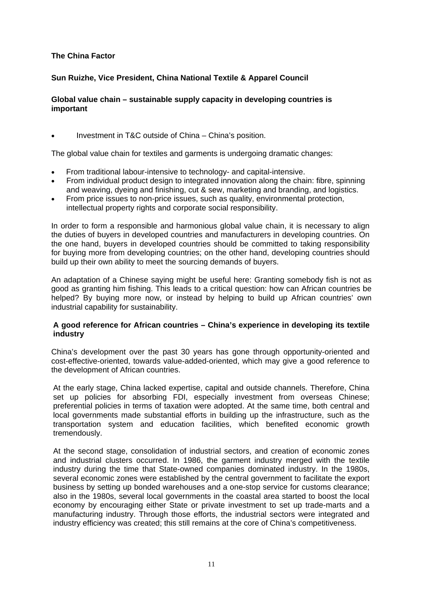# **The China Factor**

# **Sun Ruizhe, Vice President, China National Textile & Apparel Council**

#### **Global value chain – sustainable supply capacity in developing countries is important**

Investment in T&C outside of China – China's position.

The global value chain for textiles and garments is undergoing dramatic changes:

- From traditional labour-intensive to technology- and capital-intensive.
- From individual product design to integrated innovation along the chain: fibre, spinning and weaving, dyeing and finishing, cut & sew, marketing and branding, and logistics.
- From price issues to non-price issues, such as quality, environmental protection, intellectual property rights and corporate social responsibility.

In order to form a responsible and harmonious global value chain, it is necessary to align the duties of buyers in developed countries and manufacturers in developing countries. On the one hand, buyers in developed countries should be committed to taking responsibility for buying more from developing countries; on the other hand, developing countries should build up their own ability to meet the sourcing demands of buyers.

An adaptation of a Chinese saying might be useful here: Granting somebody fish is not as good as granting him fishing. This leads to a critical question: how can African countries be helped? By buying more now, or instead by helping to build up African countries' own industrial capability for sustainability.

# **A good reference for African countries – China's experience in developing its textile industry**

China's development over the past 30 years has gone through opportunity-oriented and cost-effective-oriented, towards value-added-oriented, which may give a good reference to the development of African countries.

At the early stage, China lacked expertise, capital and outside channels. Therefore, China set up policies for absorbing FDI, especially investment from overseas Chinese; preferential policies in terms of taxation were adopted. At the same time, both central and local governments made substantial efforts in building up the infrastructure, such as the transportation system and education facilities, which benefited economic growth tremendously.

At the second stage, consolidation of industrial sectors, and creation of economic zones and industrial clusters occurred. In 1986, the garment industry merged with the textile industry during the time that State-owned companies dominated industry. In the 1980s, several economic zones were established by the central government to facilitate the export business by setting up bonded warehouses and a one-stop service for customs clearance; also in the 1980s, several local governments in the coastal area started to boost the local economy by encouraging either State or private investment to set up trade-marts and a manufacturing industry. Through those efforts, the industrial sectors were integrated and industry efficiency was created; this still remains at the core of China's competitiveness.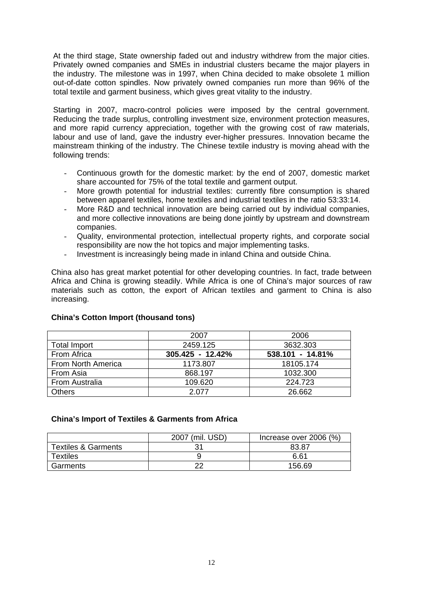At the third stage, State ownership faded out and industry withdrew from the major cities. Privately owned companies and SMEs in industrial clusters became the major players in the industry. The milestone was in 1997, when China decided to make obsolete 1 million out-of-date cotton spindles. Now privately owned companies run more than 96% of the total textile and garment business, which gives great vitality to the industry.

Starting in 2007, macro-control policies were imposed by the central government. Reducing the trade surplus, controlling investment size, environment protection measures, and more rapid currency appreciation, together with the growing cost of raw materials, labour and use of land, gave the industry ever-higher pressures. Innovation became the mainstream thinking of the industry. The Chinese textile industry is moving ahead with the following trends:

- Continuous growth for the domestic market: by the end of 2007, domestic market share accounted for 75% of the total textile and garment output.
- More growth potential for industrial textiles: currently fibre consumption is shared between apparel textiles, home textiles and industrial textiles in the ratio 53:33:14.
- More R&D and technical innovation are being carried out by individual companies, and more collective innovations are being done jointly by upstream and downstream companies.
- Quality, environmental protection, intellectual property rights, and corporate social responsibility are now the hot topics and major implementing tasks.
- Investment is increasingly being made in inland China and outside China.

China also has great market potential for other developing countries. In fact, trade between Africa and China is growing steadily. While Africa is one of China's major sources of raw materials such as cotton, the export of African textiles and garment to China is also increasing.

|                     | 2007             | 2006             |  |
|---------------------|------------------|------------------|--|
| <b>Total Import</b> | 2459.125         | 3632.303         |  |
| From Africa         | 305.425 - 12.42% | 538.101 - 14.81% |  |
| From North America  | 1173.807         | 18105.174        |  |
| From Asia           | 868.197          | 1032.300         |  |
| From Australia      | 109.620          | 224.723          |  |
| <b>Others</b>       | 2.077            | 26.662           |  |

# **China's Cotton Import (thousand tons)**

#### **China's Import of Textiles & Garments from Africa**

|                                | 2007 (mil. USD) | Increase over 2006 (%) |  |
|--------------------------------|-----------------|------------------------|--|
| <b>Textiles &amp; Garments</b> |                 | 83.87                  |  |
| <b>Textiles</b>                |                 | 6.61                   |  |
| Garments                       | nr              | 156.69                 |  |